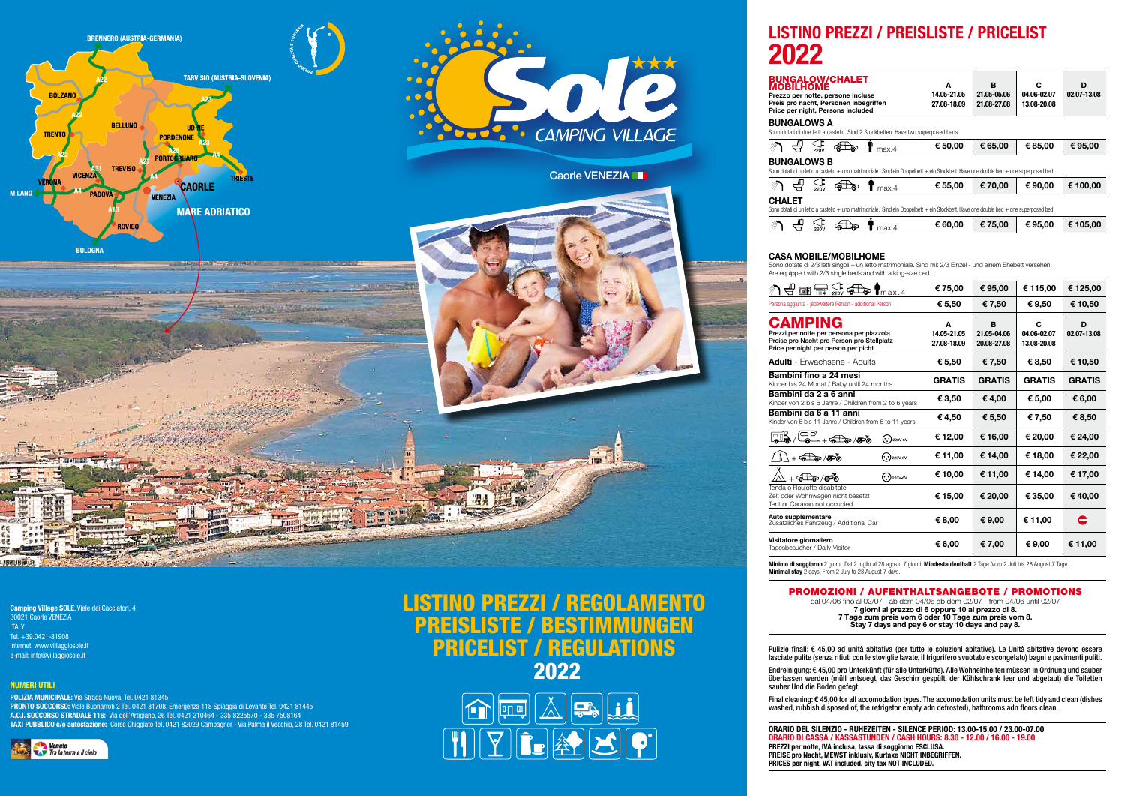Camping Village SOLE, Viale dei Cacciatori, 4 30021 Caorle VENEZIA **ITALY** Tel. +39.0421-81908 internet: www.villaggiosole.it e-mail: info@villaggiosole.it

# NUMERI UTILI

POLIZIA MUNICIPALE: Via Strada Nuova, Tel. 0421 81345 PRONTO SOCCORSO: Viale Buonarroti 2 Tel. 0421 81708, Emergenza 118 Spiaggia di Levante Tel. 0421 81445 A.C.I. SOCCORSO STRADALE 116: Via dell'Artigiano, 26 Tel. 0421 210464 - 335 8225570 - 335 7508164 TAXI PUBBLICO c/o autostazione: Corso Chiggiato Tel. 0421 82029 Campagner - Via Palma il Vecchio, 28 Tel. 0421 81459



# LISTINO PREZZI / REGOLAMENTO PREISLISTE / BESTIMMUNGEN PRICELIST / REGULATIONS 2022





# LISTINO PREZZI / PREISLISTE / PRICELIST

| CHALET                                                                                                            | A                          | в                          | C                          | D           |
|-------------------------------------------------------------------------------------------------------------------|----------------------------|----------------------------|----------------------------|-------------|
| ersone incluse<br>sonen inbegriffen<br>sons included                                                              | 14.05-21.05<br>27.08-18.09 | 21.05-05.06<br>21.08-27.08 | 04.06-02.07<br>13.08-20.08 | 02.07-13.08 |
| astello. Sind 2 Stockbetten. Have two superposed beds.                                                            |                            |                            |                            |             |
|                                                                                                                   |                            |                            |                            |             |
| max.4                                                                                                             | € 50,00                    | € 65,00                    | € 85,00                    | € 95,00     |
|                                                                                                                   |                            |                            |                            |             |
| llo + uno matrimoniale. Sind ein Doppelbett + ein Stockbett. Have one double bed + one superposed bed.            |                            |                            |                            |             |
| max.4                                                                                                             | € 55,00                    | € 70,00                    | € 90,00                    | € 100,00    |
|                                                                                                                   |                            |                            |                            |             |
| $\mathsf{llo}$ + uno matrimoniale. Sind ein Doppelbett + ein Stockbett. Have one double bed + one superposed bed. |                            |                            |                            |             |

| ক্ত<br>Ш.<br>max.4 | € 60,00 | $\, \in 75,00$ | € 95,00 $\in$ 105,00 |
|--------------------|---------|----------------|----------------------|
|                    |         |                |                      |

ଈ

Sono dotate di 2/3 letti singoli + un letto matrimoniale. Sind mit 2/3 Einzel - und einem Ehebett versehen.

Are equipped with 2/3 single beds and with a king-size bed.



| 國<br>$\mathsf{T}$ max.4                                                                                                                           |                                    | € 75,00                         | € 95,00                         | € 115,00                        | € 125,00         |
|---------------------------------------------------------------------------------------------------------------------------------------------------|------------------------------------|---------------------------------|---------------------------------|---------------------------------|------------------|
| Persona aggiunta - jedeweitere Person - additional Person                                                                                         |                                    | € 5,50                          | €7,50                           | € 9,50                          | € 10,50          |
| <b>CAMPING</b><br>Prezzi per notte per persona per piazzola<br>Preise pro Nacht pro Person pro Stellplatz<br>Price per night per person per picht |                                    | A<br>14.05-21.05<br>27.08-18.09 | B<br>21.05-04.06<br>20.08-27.08 | C<br>04.06-02.07<br>13.08-20.08 | D<br>02.07-13.08 |
| <b>Adulti</b> - Erwachsene - Adults                                                                                                               |                                    | € 5,50                          | € 7,50                          | € 8,50                          | € 10,50          |
| Bambini fino a 24 mesi<br>Kinder bis 24 Monat / Baby until 24 months                                                                              |                                    | <b>GRATIS</b>                   | <b>GRATIS</b>                   | <b>GRATIS</b>                   | <b>GRATIS</b>    |
| Bambini da 2 a 6 anni<br>Kinder von 2 bis 6 Jahre / Children from 2 to 6 years                                                                    |                                    | € 3,50                          | €4,00                           | € 5,00                          | € 6,00           |
| Bambini da 6 a 11 anni<br>Kinder von 6 bis 11 Jahre / Children from 6 to 11 years                                                                 |                                    | € 4,50                          | € 5,50                          | € 7,50                          | € 8,50           |
| år,<br>$+$ and $\sqrt{2}$                                                                                                                         | $\left(\cdot,\cdot\right)$ 220V-6V | € 12,00                         | € 16,00                         | € 20,00                         | € 24,00          |
| $+$ Fo / Fo                                                                                                                                       | $(\cdot)$ 220V-6V                  | € 11,00                         | € 14,00                         | € 18,00                         | € 22,00          |
| $+$ Fo / Fo                                                                                                                                       | $(\cdot)$ 220V-6V                  | € 10,00                         | € 11,00                         | € 14,00                         | € 17,00          |
| Tenda o Roulotte disabitate<br>Zelt oder Wohnwagen nicht besetzt<br>Tent or Caravan not occupied                                                  |                                    | € 15,00                         | € 20,00                         | € 35,00                         | €40,00           |
| Auto supplementare<br>Zusatzliches Fahrzeug / Additional Car                                                                                      |                                    | € 8,00                          | € 9,00                          | € 11,00                         | ◓                |
| Visitatore giornaliero<br>Tagesbesucher / Daily Visitor                                                                                           |                                    | € 6,00                          | € 7,00                          | € 9,00                          | € 11,00          |

Minimo di soggiorno 2 giorni. Dal 2 luglio al 28 agosto 7 giorni. Mindestaufenthalt 2 Tage. Vom 2 Juli bis 28 August 7 Tage.

# PROMOZIONI / AUFENTHALTSANGEBOTE / PROMOTIONS

dal 04/06 fino al 02/07 - ab dem 04/06 ab dem 02/07 - from 04/06 until 02/07 7 giorni al prezzo di 6 oppure 10 al prezzo di 8. 7 Tage zum preis vom 6 oder 10 Tage zum preis vom 8. Stay 7 days and pay 6 or stay 10 days and pay 8.

Pulizie finali: € 45,00 ad unità abitativa (per tutte le soluzioni abitative). Le Unità abitative devono essere lasciate pulite (senza rifiuti con le stoviglie lavate, il frigorifero svuotato e scongelato) bagni e pavimenti puliti. Endreinigung: € 45,00 pro Unterkünft (für alle Unterküfte). Alle Wohneinheiten müssen in Ordnung und sauber

überlassen werden (müll entsoegt, das Geschirr gespült, der Kühlschrank leer und abgetaut) die Toiletten sauber Und die Boden gefegt.

Final cleaning: € 45,00 for all accomodation types. The accomodation units must be left tidy and clean (dishes washed, rubbish disposed of, the refrigetor empty adn defrosted), bathrooms adn floors clean.

ORARIO DEL SILENZIO - RUHEZEITEN - SILENCE PERIOD: 13.00-15.00 / 23.00-07.00 ORARIO DI CASSA / KASSASTUNDEN / CASH HOURS: 8.30 - 12.00 / 16.00 - 19.00 PREZZI per notte, IVA inclusa, tassa di soggiorno ESCLUSA. PREISE pro Nacht, MEWST inklusiv, Kurtaxe NICHT INBEGRIFFEN. PRICES per night, VAT included, city tax NOT INCLUDED.